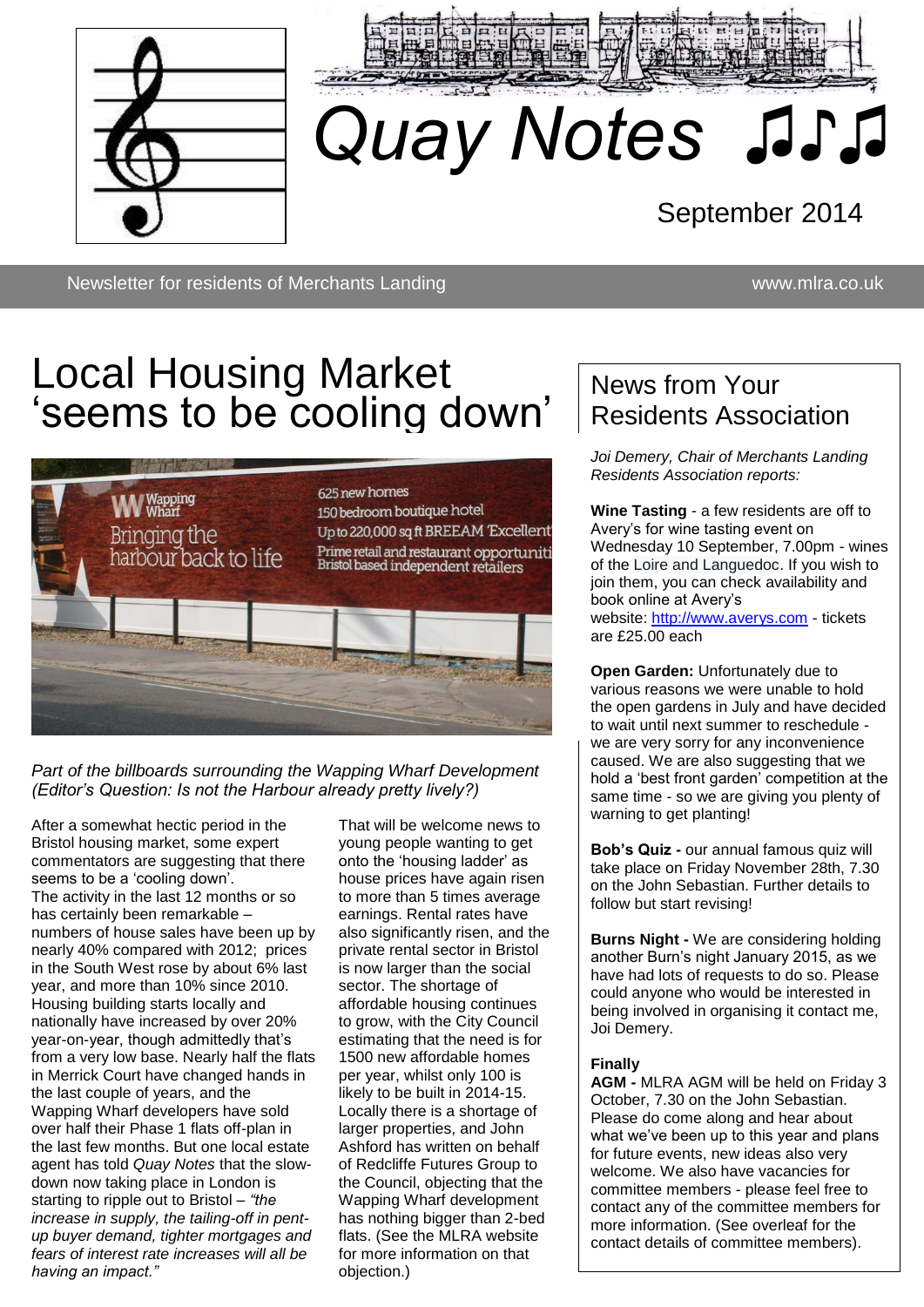



# *Quay Notes ♫♪♫*

September 2014

Newsletter for residents of Merchants Landing www.mlra.co.uk

# Local Housing Market 'seems to be cooling down'

♫♫



#### *Part of the billboards surrounding the Wapping Wharf Development (Editor's Question: Is not the Harbour already pretty lively?)*

After a somewhat hectic period in the Bristol housing market, some expert commentators are suggesting that there seems to be a 'cooling down'. The activity in the last 12 months or so has certainly been remarkable – numbers of house sales have been up by nearly 40% compared with 2012; prices in the South West rose by about 6% last year, and more than 10% since 2010. Housing building starts locally and nationally have increased by over 20% year-on-year, though admittedly that's from a very low base. Nearly half the flats in Merrick Court have changed hands in the last couple of years, and the Wapping Wharf developers have sold over half their Phase 1 flats off-plan in the last few months. But one local estate agent has told *Quay Notes* that the slowdown now taking place in London is starting to ripple out to Bristol – *"the increase in supply, the tailing-off in pentup buyer demand, tighter mortgages and fears of interest rate increases will all be having an impact."*

That will be welcome news to young people wanting to get onto the 'housing ladder' as house prices have again risen to more than 5 times average earnings. Rental rates have also significantly risen, and the private rental sector in Bristol is now larger than the social sector. The shortage of affordable housing continues to grow, with the City Council estimating that the need is for 1500 new affordable homes per year, whilst only 100 is likely to be built in 2014-15. Locally there is a shortage of larger properties, and John Ashford has written on behalf of Redcliffe Futures Group to the Council, objecting that the Wapping Wharf development has nothing bigger than 2-bed flats. (See the MLRA website for more information on that objection.)

### News from Your Residents Association

*Joi Demery, Chair of Merchants Landing Residents Association reports:*

**Wine Tasting** - a few residents are off to Avery's for wine tasting event on Wednesday 10 September, 7.00pm - wines of the Loire and Languedoc. If you wish to join them, you can check availability and book online at Avery's website: [http://www.averys.com](http://www.averys.com/) - tickets are £25.00 each

**Open Garden: Unfortunately due to** various reasons we were unable to hold the open gardens in July and have decided to wait until next summer to reschedule we are very sorry for any inconvenience caused. We are also suggesting that we hold a 'best front garden' competition at the same time - so we are giving you plenty of warning to get planting!

**Bob's Quiz -** our annual famous quiz will take place on Friday November 28th, 7.30 on the John Sebastian. Further details to follow but start revising!

**Burns Night -** We are considering holding another Burn's night January 2015, as we have had lots of requests to do so. Please could anyone who would be interested in being involved in organising it contact me, Joi Demery.

#### **Finally**

**AGM -** MLRA AGM will be held on Friday 3 October, 7.30 on the John Sebastian. Please do come along and hear about what we've been up to this year and plans for future events, new ideas also very welcome. We also have vacancies for committee members - please feel free to contact any of the committee members for more information. (See overleaf for the contact details of committee members).